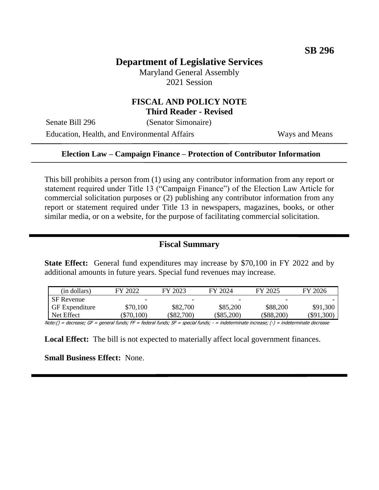# **Department of Legislative Services**

Maryland General Assembly 2021 Session

### **FISCAL AND POLICY NOTE Third Reader - Revised**

Senate Bill 296 (Senator Simonaire)

Education, Health, and Environmental Affairs Ways and Means

#### **Election Law – Campaign Finance – Protection of Contributor Information**

This bill prohibits a person from (1) using any contributor information from any report or statement required under Title 13 ("Campaign Finance") of the Election Law Article for commercial solicitation purposes or (2) publishing any contributor information from any report or statement required under Title 13 in newspapers, magazines, books, or other similar media, or on a website, for the purpose of facilitating commercial solicitation.

### **Fiscal Summary**

**State Effect:** General fund expenditures may increase by \$70,100 in FY 2022 and by additional amounts in future years. Special fund revenues may increase.

| (in dollars)          | FY 2022    | FY 2023  | FY 2024      | FY 2025      | FY 2026          |
|-----------------------|------------|----------|--------------|--------------|------------------|
| <b>SF</b> Revenue     |            |          |              |              |                  |
| <b>GF</b> Expenditure | \$70,100   | \$82,700 | \$85,200     | \$88,200     | \$91,300         |
| Net Effect            | $\$70,100$ | \$82,700 | $(\$85,200)$ | $(\$88,200)$ | $($ \$91,300 $)$ |

Note:() = decrease; GF = general funds; FF = federal funds; SF = special funds; - = indeterminate increase; (-) = indeterminate decrease

**Local Effect:** The bill is not expected to materially affect local government finances.

**Small Business Effect:** None.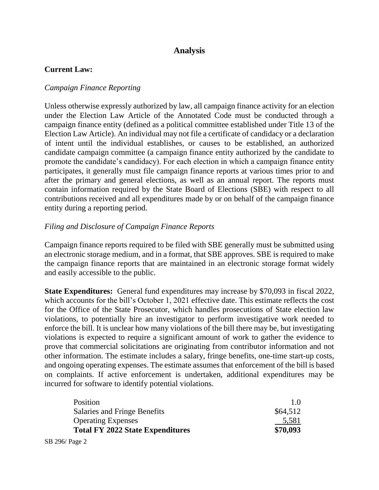# **Analysis**

### **Current Law:**

### *Campaign Finance Reporting*

Unless otherwise expressly authorized by law, all campaign finance activity for an election under the Election Law Article of the Annotated Code must be conducted through a campaign finance entity (defined as a political committee established under Title 13 of the Election Law Article). An individual may not file a certificate of candidacy or a declaration of intent until the individual establishes, or causes to be established, an authorized candidate campaign committee (a campaign finance entity authorized by the candidate to promote the candidate's candidacy). For each election in which a campaign finance entity participates, it generally must file campaign finance reports at various times prior to and after the primary and general elections, as well as an annual report. The reports must contain information required by the State Board of Elections (SBE) with respect to all contributions received and all expenditures made by or on behalf of the campaign finance entity during a reporting period.

### *Filing and Disclosure of Campaign Finance Reports*

Campaign finance reports required to be filed with SBE generally must be submitted using an electronic storage medium, and in a format, that SBE approves. SBE is required to make the campaign finance reports that are maintained in an electronic storage format widely and easily accessible to the public.

**State Expenditures:** General fund expenditures may increase by \$70,093 in fiscal 2022, which accounts for the bill's October 1, 2021 effective date. This estimate reflects the cost for the Office of the State Prosecutor, which handles prosecutions of State election law violations, to potentially hire an investigator to perform investigative work needed to enforce the bill. It is unclear how many violations of the bill there may be, but investigating violations is expected to require a significant amount of work to gather the evidence to prove that commercial solicitations are originating from contributor information and not other information. The estimate includes a salary, fringe benefits, one-time start-up costs, and ongoing operating expenses. The estimate assumes that enforcement of the bill is based on complaints. If active enforcement is undertaken, additional expenditures may be incurred for software to identify potential violations.

| 1.0      |
|----------|
| \$64,512 |
| 5.581    |
| \$70,093 |
|          |

SB 296/ Page 2